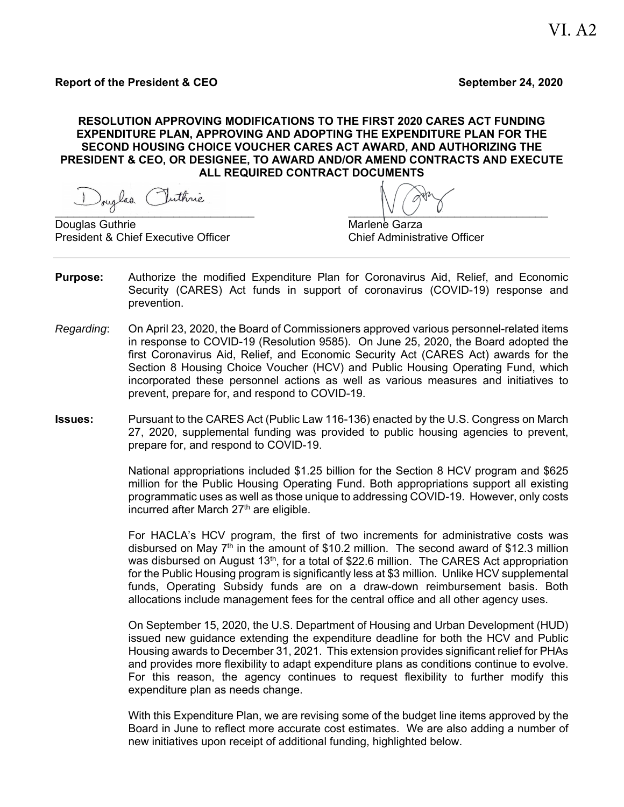## **RESOLUTION APPROVING MODIFICATIONS TO THE FIRST 2020 CARES ACT FUNDING EXPENDITURE PLAN, APPROVING AND ADOPTING THE EXPENDITURE PLAN FOR THE SECOND HOUSING CHOICE VOUCHER CARES ACT AWARD, AND AUTHORIZING THE PRESIDENT & CEO, OR DESIGNEE, TO AWARD AND/OR AMEND CONTRACTS AND EXECUTE ALL REQUIRED CONTRACT DOCUMENTS**

 $\overline{a}$  ,  $\overline{a}$  ,  $\overline{a}$  ,  $\overline{a}$  ,  $\overline{a}$  ,  $\overline{a}$  ,  $\overline{a}$  ,  $\overline{a}$  ,  $\overline{a}$  ,  $\overline{a}$  ,  $\overline{a}$  ,  $\overline{a}$  ,  $\overline{a}$  ,  $\overline{a}$  ,  $\overline{a}$  ,  $\overline{a}$  ,  $\overline{a}$  ,  $\overline{a}$  ,  $\overline{a}$  ,  $\overline{a}$  ,

Douglas Guthrie **Marlene Garza** President & Chief Executive Officer Chief Administrative Officer

- **Purpose:** Authorize the modified Expenditure Plan for Coronavirus Aid, Relief, and Economic Security (CARES) Act funds in support of coronavirus (COVID-19) response and prevention.
- *Regarding*: On April 23, 2020, the Board of Commissioners approved various personnel-related items in response to COVID-19 (Resolution 9585). On June 25, 2020, the Board adopted the first Coronavirus Aid, Relief, and Economic Security Act (CARES Act) awards for the Section 8 Housing Choice Voucher (HCV) and Public Housing Operating Fund, which incorporated these personnel actions as well as various measures and initiatives to prevent, prepare for, and respond to COVID-19.
- **Issues:** Pursuant to the CARES Act (Public Law 116-136) enacted by the U.S. Congress on March 27, 2020, supplemental funding was provided to public housing agencies to prevent, prepare for, and respond to COVID-19.

National appropriations included \$1.25 billion for the Section 8 HCV program and \$625 million for the Public Housing Operating Fund. Both appropriations support all existing programmatic uses as well as those unique to addressing COVID-19. However, only costs incurred after March  $27<sup>th</sup>$  are eligible.

For HACLA's HCV program, the first of two increments for administrative costs was disbursed on May  $7<sup>th</sup>$  in the amount of \$10.2 million. The second award of \$12.3 million was disbursed on August  $13<sup>th</sup>$ , for a total of \$22.6 million. The CARES Act appropriation for the Public Housing program is significantly less at \$3 million. Unlike HCV supplemental funds, Operating Subsidy funds are on a draw-down reimbursement basis. Both allocations include management fees for the central office and all other agency uses.

On September 15, 2020, the U.S. Department of Housing and Urban Development (HUD) issued new guidance extending the expenditure deadline for both the HCV and Public Housing awards to December 31, 2021. This extension provides significant relief for PHAs and provides more flexibility to adapt expenditure plans as conditions continue to evolve. For this reason, the agency continues to request flexibility to further modify this expenditure plan as needs change.

With this Expenditure Plan, we are revising some of the budget line items approved by the Board in June to reflect more accurate cost estimates. We are also adding a number of new initiatives upon receipt of additional funding, highlighted below.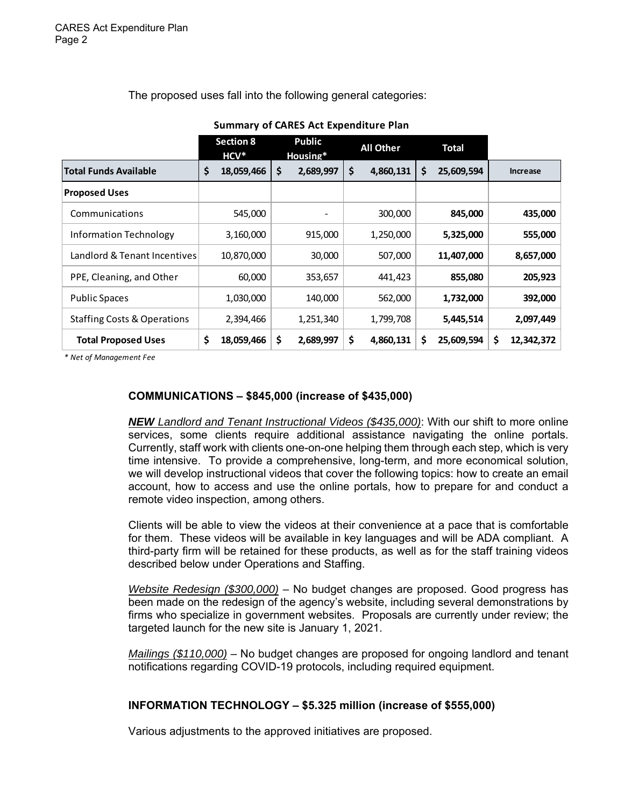The proposed uses fall into the following general categories:

 **Section 8 HCV\* Public Housing\* All Other Total Total Funds Available 18,059,466 \$ 2,689,997 \$ 4,860,131 \$ 25,609,594 \$ Increase Proposed Uses** Communications 545,000 ‐ 300,000  **435,000 845,000**  Information Technology  $\begin{array}{ccc} \vert & 3,160,000 \end{array}$  915,000  $\vert$  1,250,000 c 5,325,000 555,000 Landlord & Tenant Incentives 10,870,000 30,000 507,000  **8,657,000 11,407,000**  PPE, Cleaning, and Other  $\begin{array}{ccc} | & 60,000 & 353,657 & 441,423 & 855,080 & 205,923 \end{array}$ Public Spaces  $1,030,000$   $140,000$   $562,000$   $1,732,000$   $392,000$ Staffing Costs & Operations | 2,394,466 | 1,251,340 | 1,799,708 | 5,445,514 | 2,097,449 **Total Proposed Uses 18,059,466 \$ 2,689,997 \$ 4,860,131 \$ 25,609,594 \$ 12,342,372 \$** 

**Summary of CARES Act Expenditure Plan**

*\* Net of Management Fee*

# **COMMUNICATIONS – \$845,000 (increase of \$435,000)**

*NEW Landlord and Tenant Instructional Videos (\$435,000)*: With our shift to more online services, some clients require additional assistance navigating the online portals. Currently, staff work with clients one-on-one helping them through each step, which is very time intensive. To provide a comprehensive, long-term, and more economical solution, we will develop instructional videos that cover the following topics: how to create an email account, how to access and use the online portals, how to prepare for and conduct a remote video inspection, among others.

Clients will be able to view the videos at their convenience at a pace that is comfortable for them. These videos will be available in key languages and will be ADA compliant. A third-party firm will be retained for these products, as well as for the staff training videos described below under Operations and Staffing.

*Website Redesign (\$300,000)* – No budget changes are proposed. Good progress has been made on the redesign of the agency's website, including several demonstrations by firms who specialize in government websites. Proposals are currently under review; the targeted launch for the new site is January 1, 2021.

*Mailings (\$110,000)* – No budget changes are proposed for ongoing landlord and tenant notifications regarding COVID-19 protocols, including required equipment.

### **INFORMATION TECHNOLOGY – \$5.325 million (increase of \$555,000)**

Various adjustments to the approved initiatives are proposed.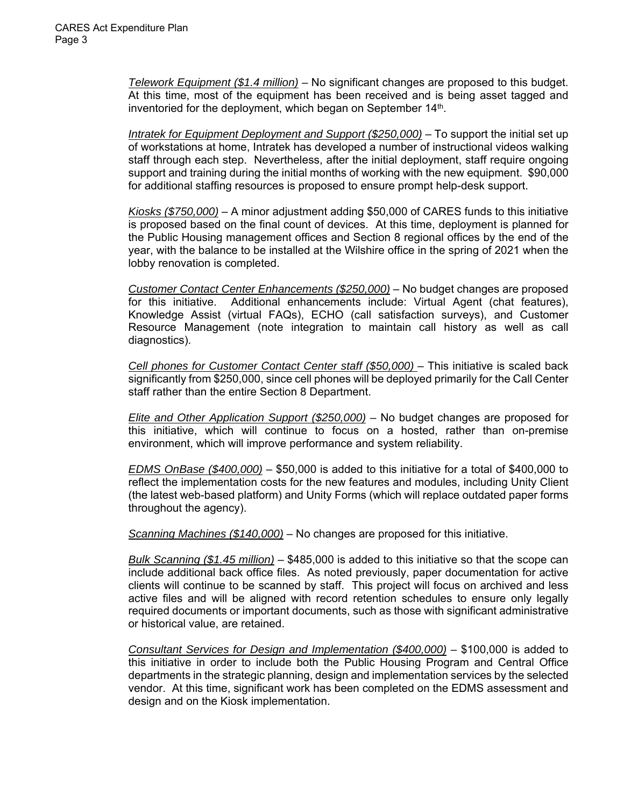*Telework Equipment (\$1.4 million) –* No significant changes are proposed to this budget. At this time, most of the equipment has been received and is being asset tagged and inventoried for the deployment, which began on September 14<sup>th</sup>.

*Intratek for Equipment Deployment and Support (\$250,000)* – To support the initial set up of workstations at home, Intratek has developed a number of instructional videos walking staff through each step. Nevertheless, after the initial deployment, staff require ongoing support and training during the initial months of working with the new equipment. \$90,000 for additional staffing resources is proposed to ensure prompt help-desk support.

*Kiosks (\$750,000)* – A minor adjustment adding \$50,000 of CARES funds to this initiative is proposed based on the final count of devices. At this time, deployment is planned for the Public Housing management offices and Section 8 regional offices by the end of the year, with the balance to be installed at the Wilshire office in the spring of 2021 when the lobby renovation is completed.

*Customer Contact Center Enhancements (\$250,000)* – No budget changes are proposed for this initiative. Additional enhancements include: Virtual Agent (chat features), Knowledge Assist (virtual FAQs), ECHO (call satisfaction surveys), and Customer Resource Management (note integration to maintain call history as well as call diagnostics).

*Cell phones for Customer Contact Center staff (\$50,000)* – This initiative is scaled back significantly from \$250,000, since cell phones will be deployed primarily for the Call Center staff rather than the entire Section 8 Department.

*Elite and Other Application Support (\$250,000) –* No budget changes are proposed for this initiative, which will continue to focus on a hosted, rather than on-premise environment, which will improve performance and system reliability.

*EDMS OnBase (\$400,000)* – \$50,000 is added to this initiative for a total of \$400,000 to reflect the implementation costs for the new features and modules, including Unity Client (the latest web-based platform) and Unity Forms (which will replace outdated paper forms throughout the agency).

*Scanning Machines (\$140,000)* – No changes are proposed for this initiative.

*Bulk Scanning (\$1.45 million)* – \$485,000 is added to this initiative so that the scope can include additional back office files. As noted previously, paper documentation for active clients will continue to be scanned by staff. This project will focus on archived and less active files and will be aligned with record retention schedules to ensure only legally required documents or important documents, such as those with significant administrative or historical value, are retained.

*Consultant Services for Design and Implementation (\$400,000) –* \$100,000 is added to this initiative in order to include both the Public Housing Program and Central Office departments in the strategic planning, design and implementation services by the selected vendor. At this time, significant work has been completed on the EDMS assessment and design and on the Kiosk implementation.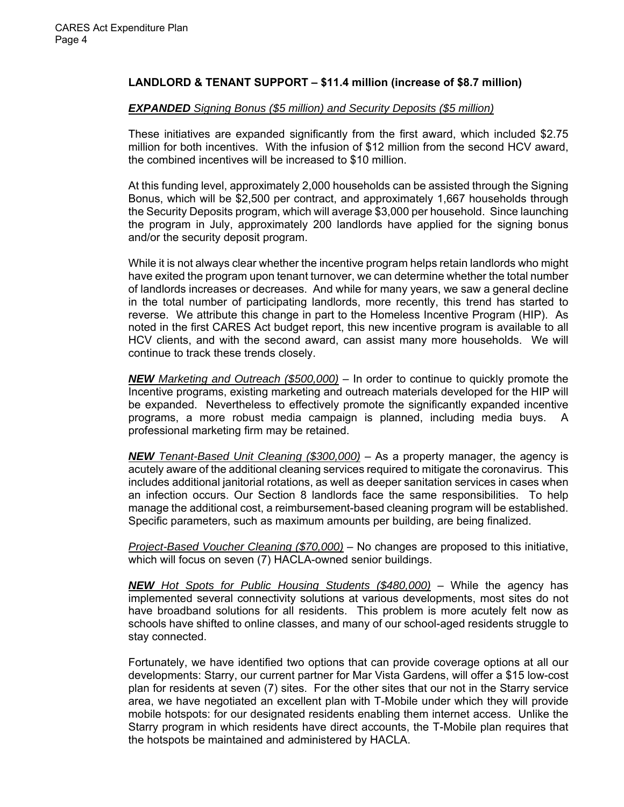# **LANDLORD & TENANT SUPPORT – \$11.4 million (increase of \$8.7 million)**

#### *EXPANDED Signing Bonus (\$5 million) and Security Deposits (\$5 million)*

These initiatives are expanded significantly from the first award, which included \$2.75 million for both incentives. With the infusion of \$12 million from the second HCV award, the combined incentives will be increased to \$10 million.

At this funding level, approximately 2,000 households can be assisted through the Signing Bonus, which will be \$2,500 per contract, and approximately 1,667 households through the Security Deposits program, which will average \$3,000 per household. Since launching the program in July, approximately 200 landlords have applied for the signing bonus and/or the security deposit program.

While it is not always clear whether the incentive program helps retain landlords who might have exited the program upon tenant turnover, we can determine whether the total number of landlords increases or decreases. And while for many years, we saw a general decline in the total number of participating landlords, more recently, this trend has started to reverse. We attribute this change in part to the Homeless Incentive Program (HIP). As noted in the first CARES Act budget report, this new incentive program is available to all HCV clients, and with the second award, can assist many more households. We will continue to track these trends closely.

*NEW Marketing and Outreach (\$500,000)* – In order to continue to quickly promote the Incentive programs, existing marketing and outreach materials developed for the HIP will be expanded. Nevertheless to effectively promote the significantly expanded incentive programs, a more robust media campaign is planned, including media buys. A professional marketing firm may be retained.

*NEW Tenant-Based Unit Cleaning (\$300,000)* – As a property manager, the agency is acutely aware of the additional cleaning services required to mitigate the coronavirus. This includes additional janitorial rotations, as well as deeper sanitation services in cases when an infection occurs. Our Section 8 landlords face the same responsibilities. To help manage the additional cost, a reimbursement-based cleaning program will be established. Specific parameters, such as maximum amounts per building, are being finalized.

*Project-Based Voucher Cleaning (\$70,000)* – No changes are proposed to this initiative, which will focus on seven (7) HACLA-owned senior buildings.

*NEW Hot Spots for Public Housing Students (\$480,000)* – While the agency has implemented several connectivity solutions at various developments, most sites do not have broadband solutions for all residents. This problem is more acutely felt now as schools have shifted to online classes, and many of our school-aged residents struggle to stay connected.

Fortunately, we have identified two options that can provide coverage options at all our developments: Starry, our current partner for Mar Vista Gardens, will offer a \$15 low-cost plan for residents at seven (7) sites. For the other sites that our not in the Starry service area, we have negotiated an excellent plan with T-Mobile under which they will provide mobile hotspots: for our designated residents enabling them internet access. Unlike the Starry program in which residents have direct accounts, the T-Mobile plan requires that the hotspots be maintained and administered by HACLA.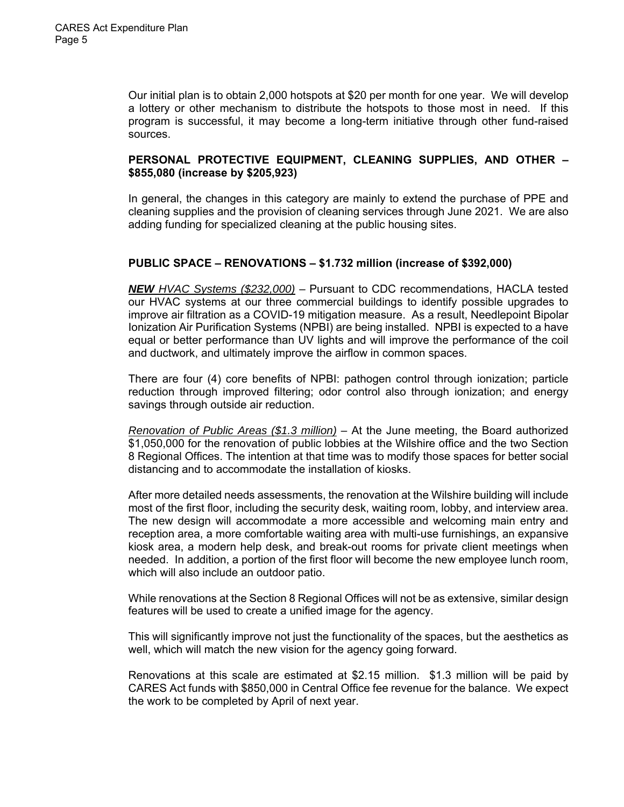Our initial plan is to obtain 2,000 hotspots at \$20 per month for one year. We will develop a lottery or other mechanism to distribute the hotspots to those most in need. If this program is successful, it may become a long-term initiative through other fund-raised sources.

# **PERSONAL PROTECTIVE EQUIPMENT, CLEANING SUPPLIES, AND OTHER – \$855,080 (increase by \$205,923)**

In general, the changes in this category are mainly to extend the purchase of PPE and cleaning supplies and the provision of cleaning services through June 2021. We are also adding funding for specialized cleaning at the public housing sites.

# **PUBLIC SPACE – RENOVATIONS – \$1.732 million (increase of \$392,000)**

*NEW HVAC Systems (\$232,000)* – Pursuant to CDC recommendations, HACLA tested our HVAC systems at our three commercial buildings to identify possible upgrades to improve air filtration as a COVID-19 mitigation measure. As a result, Needlepoint Bipolar Ionization Air Purification Systems (NPBI) are being installed. NPBI is expected to a have equal or better performance than UV lights and will improve the performance of the coil and ductwork, and ultimately improve the airflow in common spaces.

There are four (4) core benefits of NPBI: pathogen control through ionization; particle reduction through improved filtering; odor control also through ionization; and energy savings through outside air reduction.

*Renovation of Public Areas (\$1.3 million)* – At the June meeting, the Board authorized \$1,050,000 for the renovation of public lobbies at the Wilshire office and the two Section 8 Regional Offices. The intention at that time was to modify those spaces for better social distancing and to accommodate the installation of kiosks.

After more detailed needs assessments, the renovation at the Wilshire building will include most of the first floor, including the security desk, waiting room, lobby, and interview area. The new design will accommodate a more accessible and welcoming main entry and reception area, a more comfortable waiting area with multi-use furnishings, an expansive kiosk area, a modern help desk, and break-out rooms for private client meetings when needed. In addition, a portion of the first floor will become the new employee lunch room, which will also include an outdoor patio.

While renovations at the Section 8 Regional Offices will not be as extensive, similar design features will be used to create a unified image for the agency.

This will significantly improve not just the functionality of the spaces, but the aesthetics as well, which will match the new vision for the agency going forward.

Renovations at this scale are estimated at \$2.15 million. \$1.3 million will be paid by CARES Act funds with \$850,000 in Central Office fee revenue for the balance. We expect the work to be completed by April of next year.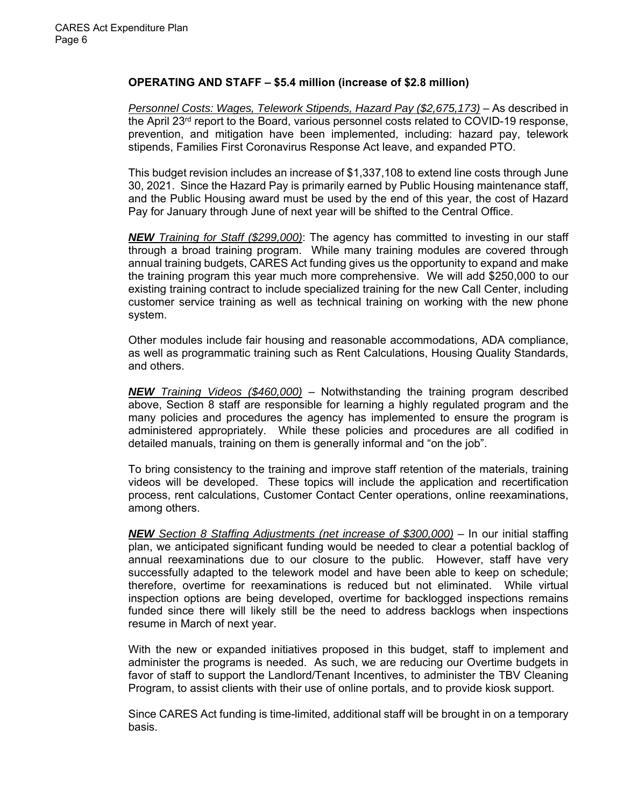# **OPERATING AND STAFF – \$5.4 million (increase of \$2.8 million)**

*Personnel Costs: Wages, Telework Stipends, Hazard Pay (\$2,675,173)* – As described in the April 23<sup>rd</sup> report to the Board, various personnel costs related to COVID-19 response, prevention, and mitigation have been implemented, including: hazard pay, telework stipends, Families First Coronavirus Response Act leave, and expanded PTO.

This budget revision includes an increase of \$1,337,108 to extend line costs through June 30, 2021. Since the Hazard Pay is primarily earned by Public Housing maintenance staff, and the Public Housing award must be used by the end of this year, the cost of Hazard Pay for January through June of next year will be shifted to the Central Office.

*NEW Training for Staff (\$299,000)*: The agency has committed to investing in our staff through a broad training program. While many training modules are covered through annual training budgets, CARES Act funding gives us the opportunity to expand and make the training program this year much more comprehensive. We will add \$250,000 to our existing training contract to include specialized training for the new Call Center, including customer service training as well as technical training on working with the new phone system.

Other modules include fair housing and reasonable accommodations, ADA compliance, as well as programmatic training such as Rent Calculations, Housing Quality Standards, and others.

*NEW Training Videos (\$460,000)* – Notwithstanding the training program described above, Section 8 staff are responsible for learning a highly regulated program and the many policies and procedures the agency has implemented to ensure the program is administered appropriately. While these policies and procedures are all codified in detailed manuals, training on them is generally informal and "on the job".

To bring consistency to the training and improve staff retention of the materials, training videos will be developed. These topics will include the application and recertification process, rent calculations, Customer Contact Center operations, online reexaminations, among others.

*NEW Section 8 Staffing Adjustments (net increase of \$300,000)* – In our initial staffing plan, we anticipated significant funding would be needed to clear a potential backlog of annual reexaminations due to our closure to the public. However, staff have very successfully adapted to the telework model and have been able to keep on schedule; therefore, overtime for reexaminations is reduced but not eliminated. While virtual inspection options are being developed, overtime for backlogged inspections remains funded since there will likely still be the need to address backlogs when inspections resume in March of next year.

With the new or expanded initiatives proposed in this budget, staff to implement and administer the programs is needed. As such, we are reducing our Overtime budgets in favor of staff to support the Landlord/Tenant Incentives, to administer the TBV Cleaning Program, to assist clients with their use of online portals, and to provide kiosk support.

Since CARES Act funding is time-limited, additional staff will be brought in on a temporary basis.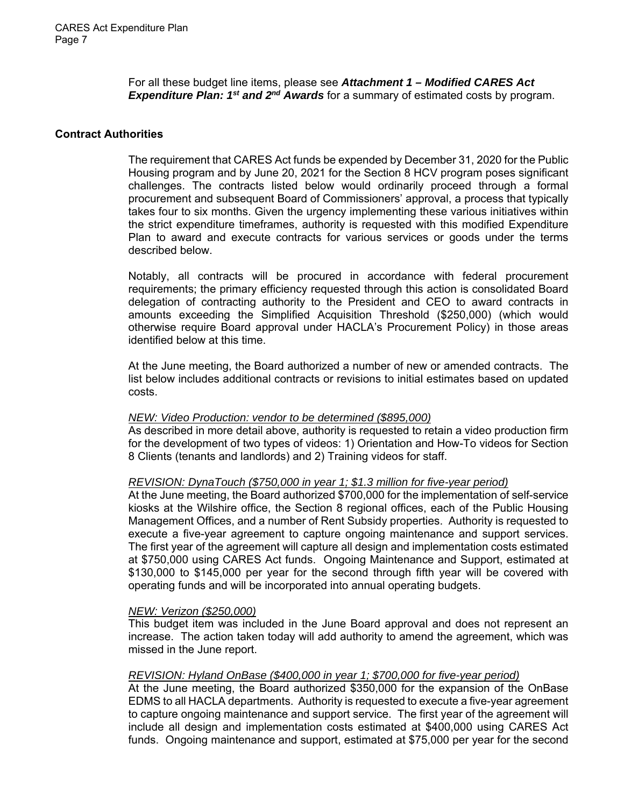For all these budget line items, please see *Attachment 1 – Modified CARES Act Expenditure Plan: 1st and 2nd Awards* for a summary of estimated costs by program.

### **Contract Authorities**

The requirement that CARES Act funds be expended by December 31, 2020 for the Public Housing program and by June 20, 2021 for the Section 8 HCV program poses significant challenges. The contracts listed below would ordinarily proceed through a formal procurement and subsequent Board of Commissioners' approval, a process that typically takes four to six months. Given the urgency implementing these various initiatives within the strict expenditure timeframes, authority is requested with this modified Expenditure Plan to award and execute contracts for various services or goods under the terms described below.

Notably, all contracts will be procured in accordance with federal procurement requirements; the primary efficiency requested through this action is consolidated Board delegation of contracting authority to the President and CEO to award contracts in amounts exceeding the Simplified Acquisition Threshold (\$250,000) (which would otherwise require Board approval under HACLA's Procurement Policy) in those areas identified below at this time.

At the June meeting, the Board authorized a number of new or amended contracts. The list below includes additional contracts or revisions to initial estimates based on updated costs.

### *NEW: Video Production: vendor to be determined (\$895,000)*

As described in more detail above, authority is requested to retain a video production firm for the development of two types of videos: 1) Orientation and How-To videos for Section 8 Clients (tenants and landlords) and 2) Training videos for staff.

### *REVISION: DynaTouch (\$750,000 in year 1; \$1.3 million for five-year period)*

At the June meeting, the Board authorized \$700,000 for the implementation of self-service kiosks at the Wilshire office, the Section 8 regional offices, each of the Public Housing Management Offices, and a number of Rent Subsidy properties. Authority is requested to execute a five-year agreement to capture ongoing maintenance and support services. The first year of the agreement will capture all design and implementation costs estimated at \$750,000 using CARES Act funds. Ongoing Maintenance and Support, estimated at \$130,000 to \$145,000 per year for the second through fifth year will be covered with operating funds and will be incorporated into annual operating budgets.

### *NEW: Verizon (\$250,000)*

This budget item was included in the June Board approval and does not represent an increase. The action taken today will add authority to amend the agreement, which was missed in the June report.

### *REVISION: Hyland OnBase (\$400,000 in year 1; \$700,000 for five-year period)*

At the June meeting, the Board authorized \$350,000 for the expansion of the OnBase EDMS to all HACLA departments. Authority is requested to execute a five-year agreement to capture ongoing maintenance and support service. The first year of the agreement will include all design and implementation costs estimated at \$400,000 using CARES Act funds. Ongoing maintenance and support, estimated at \$75,000 per year for the second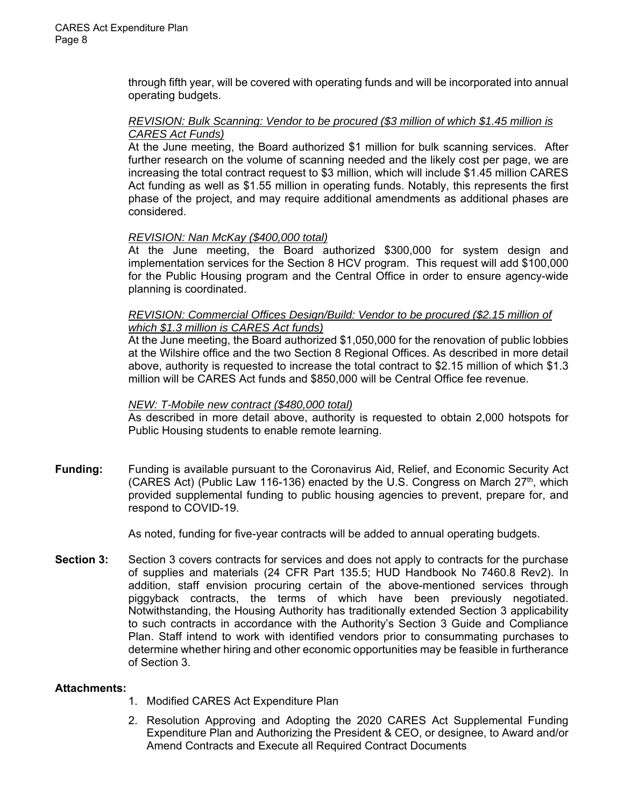through fifth year, will be covered with operating funds and will be incorporated into annual operating budgets.

### *REVISION: Bulk Scanning: Vendor to be procured (\$3 million of which \$1.45 million is CARES Act Funds)*

At the June meeting, the Board authorized \$1 million for bulk scanning services. After further research on the volume of scanning needed and the likely cost per page, we are increasing the total contract request to \$3 million, which will include \$1.45 million CARES Act funding as well as \$1.55 million in operating funds. Notably, this represents the first phase of the project, and may require additional amendments as additional phases are considered.

# *REVISION: Nan McKay (\$400,000 total)*

At the June meeting, the Board authorized \$300,000 for system design and implementation services for the Section 8 HCV program. This request will add \$100,000 for the Public Housing program and the Central Office in order to ensure agency-wide planning is coordinated.

## *REVISION: Commercial Offices Design/Build: Vendor to be procured (\$2.15 million of which \$1.3 million is CARES Act funds)*

At the June meeting, the Board authorized \$1,050,000 for the renovation of public lobbies at the Wilshire office and the two Section 8 Regional Offices. As described in more detail above, authority is requested to increase the total contract to \$2.15 million of which \$1.3 million will be CARES Act funds and \$850,000 will be Central Office fee revenue.

## *NEW: T-Mobile new contract (\$480,000 total)*

As described in more detail above, authority is requested to obtain 2,000 hotspots for Public Housing students to enable remote learning.

**Funding:** Funding is available pursuant to the Coronavirus Aid, Relief, and Economic Security Act (CARES Act) (Public Law 116-136) enacted by the U.S. Congress on March  $27<sup>th</sup>$ , which provided supplemental funding to public housing agencies to prevent, prepare for, and respond to COVID-19.

As noted, funding for five-year contracts will be added to annual operating budgets.

**Section 3:** Section 3 covers contracts for services and does not apply to contracts for the purchase of supplies and materials (24 CFR Part 135.5; HUD Handbook No 7460.8 Rev2). In addition, staff envision procuring certain of the above-mentioned services through piggyback contracts, the terms of which have been previously negotiated. Notwithstanding, the Housing Authority has traditionally extended Section 3 applicability to such contracts in accordance with the Authority's Section 3 Guide and Compliance Plan. Staff intend to work with identified vendors prior to consummating purchases to determine whether hiring and other economic opportunities may be feasible in furtherance of Section 3.

### **Attachments:**

- 1. Modified CARES Act Expenditure Plan
- 2. Resolution Approving and Adopting the 2020 CARES Act Supplemental Funding Expenditure Plan and Authorizing the President & CEO, or designee, to Award and/or Amend Contracts and Execute all Required Contract Documents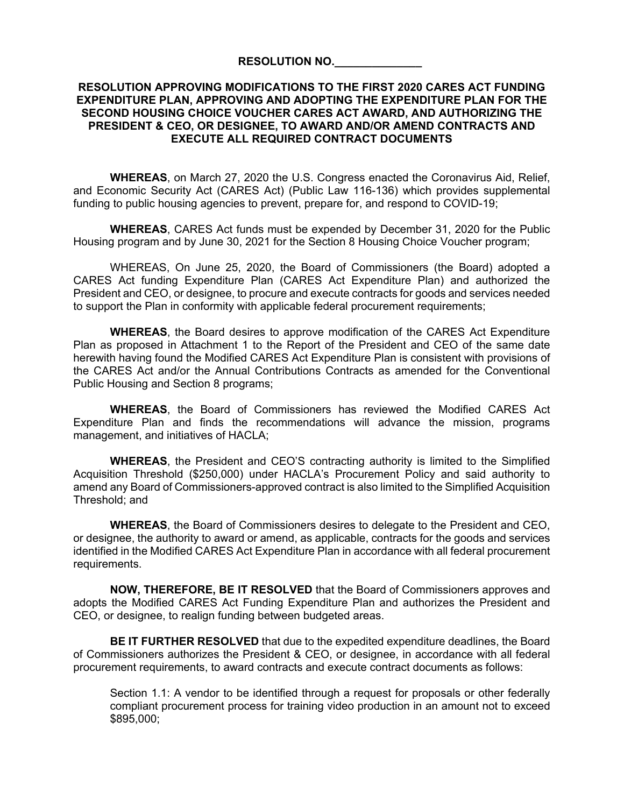#### **RESOLUTION NO.\_\_\_\_\_\_\_\_\_\_\_\_\_\_**

## **RESOLUTION APPROVING MODIFICATIONS TO THE FIRST 2020 CARES ACT FUNDING EXPENDITURE PLAN, APPROVING AND ADOPTING THE EXPENDITURE PLAN FOR THE SECOND HOUSING CHOICE VOUCHER CARES ACT AWARD, AND AUTHORIZING THE PRESIDENT & CEO, OR DESIGNEE, TO AWARD AND/OR AMEND CONTRACTS AND EXECUTE ALL REQUIRED CONTRACT DOCUMENTS**

**WHEREAS**, on March 27, 2020 the U.S. Congress enacted the Coronavirus Aid, Relief, and Economic Security Act (CARES Act) (Public Law 116-136) which provides supplemental funding to public housing agencies to prevent, prepare for, and respond to COVID-19;

**WHEREAS**, CARES Act funds must be expended by December 31, 2020 for the Public Housing program and by June 30, 2021 for the Section 8 Housing Choice Voucher program;

WHEREAS, On June 25, 2020, the Board of Commissioners (the Board) adopted a CARES Act funding Expenditure Plan (CARES Act Expenditure Plan) and authorized the President and CEO, or designee, to procure and execute contracts for goods and services needed to support the Plan in conformity with applicable federal procurement requirements;

**WHEREAS**, the Board desires to approve modification of the CARES Act Expenditure Plan as proposed in Attachment 1 to the Report of the President and CEO of the same date herewith having found the Modified CARES Act Expenditure Plan is consistent with provisions of the CARES Act and/or the Annual Contributions Contracts as amended for the Conventional Public Housing and Section 8 programs;

**WHEREAS**, the Board of Commissioners has reviewed the Modified CARES Act Expenditure Plan and finds the recommendations will advance the mission, programs management, and initiatives of HACLA;

**WHEREAS**, the President and CEO'S contracting authority is limited to the Simplified Acquisition Threshold (\$250,000) under HACLA's Procurement Policy and said authority to amend any Board of Commissioners-approved contract is also limited to the Simplified Acquisition Threshold; and

**WHEREAS**, the Board of Commissioners desires to delegate to the President and CEO, or designee, the authority to award or amend, as applicable, contracts for the goods and services identified in the Modified CARES Act Expenditure Plan in accordance with all federal procurement requirements.

**NOW, THEREFORE, BE IT RESOLVED** that the Board of Commissioners approves and adopts the Modified CARES Act Funding Expenditure Plan and authorizes the President and CEO, or designee, to realign funding between budgeted areas.

**BE IT FURTHER RESOLVED** that due to the expedited expenditure deadlines, the Board of Commissioners authorizes the President & CEO, or designee, in accordance with all federal procurement requirements, to award contracts and execute contract documents as follows:

Section 1.1: A vendor to be identified through a request for proposals or other federally compliant procurement process for training video production in an amount not to exceed \$895,000;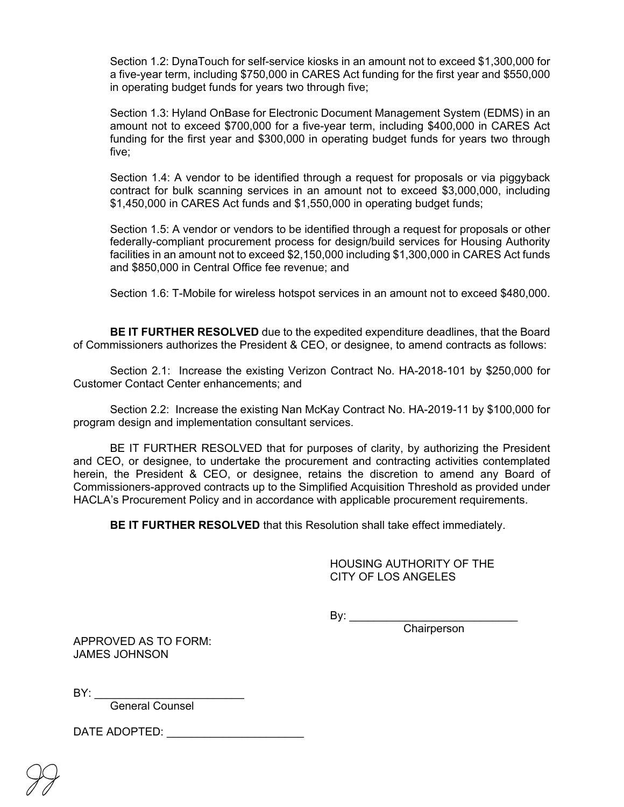Section 1.2: DynaTouch for self-service kiosks in an amount not to exceed \$1,300,000 for a five-year term, including \$750,000 in CARES Act funding for the first year and \$550,000 in operating budget funds for years two through five;

Section 1.3: Hyland OnBase for Electronic Document Management System (EDMS) in an amount not to exceed \$700,000 for a five-year term, including \$400,000 in CARES Act funding for the first year and \$300,000 in operating budget funds for years two through five;

Section 1.4: A vendor to be identified through a request for proposals or via piggyback contract for bulk scanning services in an amount not to exceed \$3,000,000, including \$1,450,000 in CARES Act funds and \$1,550,000 in operating budget funds;

Section 1.5: A vendor or vendors to be identified through a request for proposals or other federally-compliant procurement process for design/build services for Housing Authority facilities in an amount not to exceed \$2,150,000 including \$1,300,000 in CARES Act funds and \$850,000 in Central Office fee revenue; and

Section 1.6: T-Mobile for wireless hotspot services in an amount not to exceed \$480,000.

**BE IT FURTHER RESOLVED** due to the expedited expenditure deadlines, that the Board of Commissioners authorizes the President & CEO, or designee, to amend contracts as follows:

Section 2.1: Increase the existing Verizon Contract No. HA-2018-101 by \$250,000 for Customer Contact Center enhancements; and

Section 2.2: Increase the existing Nan McKay Contract No. HA-2019-11 by \$100,000 for program design and implementation consultant services.

BE IT FURTHER RESOLVED that for purposes of clarity, by authorizing the President and CEO, or designee, to undertake the procurement and contracting activities contemplated herein, the President & CEO, or designee, retains the discretion to amend any Board of Commissioners-approved contracts up to the Simplified Acquisition Threshold as provided under HACLA's Procurement Policy and in accordance with applicable procurement requirements.

**BE IT FURTHER RESOLVED** that this Resolution shall take effect immediately.

HOUSING AUTHORITY OF THE CITY OF LOS ANGELES

By: \_\_\_\_\_\_\_\_\_\_\_\_\_\_\_\_\_\_\_\_\_\_\_\_\_\_\_

Chairperson

APPROVED AS TO FORM: JAMES JOHNSON

 $\mathsf{BY:}\_\_$ 

General Counsel

DATE ADOPTED: \_\_\_\_\_\_\_\_\_\_\_\_\_\_\_\_\_\_\_\_\_\_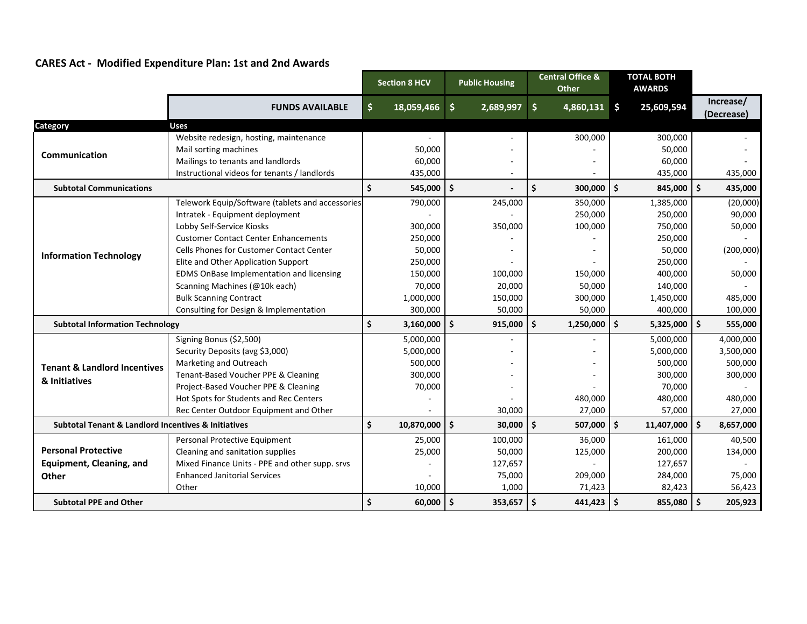|  |  | <b>CARES Act - Modified Expenditure Plan: 1st and 2nd Awards</b> |  |  |  |
|--|--|------------------------------------------------------------------|--|--|--|
|--|--|------------------------------------------------------------------|--|--|--|

|                                                                    |                                                  | <b>Section 8 HCV</b> |            | <b>Public Housing</b> |           | <b>Central Office &amp;</b><br><b>Other</b> |                |                    | <b>TOTAL BOTH</b><br><b>AWARDS</b> |                         |
|--------------------------------------------------------------------|--------------------------------------------------|----------------------|------------|-----------------------|-----------|---------------------------------------------|----------------|--------------------|------------------------------------|-------------------------|
|                                                                    | <b>FUNDS AVAILABLE</b>                           | \$                   | 18,059,466 | \$                    | 2,689,997 | \$                                          | $4,860,131$ \$ |                    | 25,609,594                         | Increase/<br>(Decrease) |
| Category                                                           | Uses                                             |                      |            |                       |           |                                             |                |                    |                                    |                         |
|                                                                    | Website redesign, hosting, maintenance           |                      |            |                       |           |                                             | 300,000        |                    | 300,000                            |                         |
| Communication                                                      | Mail sorting machines                            |                      | 50,000     |                       |           |                                             |                |                    | 50,000                             |                         |
|                                                                    | Mailings to tenants and landlords                |                      | 60,000     |                       |           |                                             |                |                    | 60,000                             |                         |
|                                                                    | Instructional videos for tenants / landlords     |                      | 435,000    |                       |           |                                             |                |                    | 435,000                            | 435,000                 |
| <b>Subtotal Communications</b>                                     |                                                  | $\dot{\mathsf{s}}$   | 545,000    | $\mathsf{\hat{S}}$    |           | Ś.                                          | 300,000        | $\mathsf{\hat{S}}$ | 845,000 \$                         | 435,000                 |
|                                                                    | Telework Equip/Software (tablets and accessories |                      | 790,000    |                       | 245,000   |                                             | 350,000        |                    | 1,385,000                          | (20,000)                |
|                                                                    | Intratek - Equipment deployment                  |                      |            |                       |           |                                             | 250,000        |                    | 250,000                            | 90,000                  |
|                                                                    | Lobby Self-Service Kiosks                        |                      | 300,000    |                       | 350,000   |                                             | 100,000        |                    | 750,000                            | 50,000                  |
|                                                                    | <b>Customer Contact Center Enhancements</b>      |                      | 250,000    |                       |           |                                             |                |                    | 250,000                            |                         |
| <b>Information Technology</b>                                      | Cells Phones for Customer Contact Center         |                      | 50,000     |                       |           |                                             |                |                    | 50,000                             | (200,000)               |
|                                                                    | Elite and Other Application Support              |                      | 250,000    |                       |           |                                             |                |                    | 250,000                            |                         |
|                                                                    | EDMS OnBase Implementation and licensing         |                      | 150,000    |                       | 100,000   |                                             | 150,000        |                    | 400,000                            | 50,000                  |
|                                                                    | Scanning Machines (@10k each)                    |                      | 70,000     |                       | 20,000    |                                             | 50,000         |                    | 140,000                            |                         |
|                                                                    | <b>Bulk Scanning Contract</b>                    |                      | 1,000,000  |                       | 150,000   |                                             | 300,000        |                    | 1,450,000                          | 485,000                 |
|                                                                    | Consulting for Design & Implementation           |                      | 300,000    |                       | 50,000    |                                             | 50,000         |                    | 400,000                            | 100,000                 |
| <b>Subtotal Information Technology</b>                             |                                                  | Ś.                   | 3,160,000  | \$                    | 915,000   | Ŝ.                                          | 1,250,000      | l \$               | $5,325,000$ \$                     | 555,000                 |
|                                                                    | Signing Bonus (\$2,500)                          |                      | 5,000,000  |                       |           |                                             |                |                    | 5,000,000                          | 4,000,000               |
|                                                                    | Security Deposits (avg \$3,000)                  |                      | 5,000,000  |                       |           |                                             |                |                    | 5,000,000                          | 3,500,000               |
| <b>Tenant &amp; Landlord Incentives</b><br>& Initiatives           | Marketing and Outreach                           |                      | 500,000    |                       |           |                                             |                |                    | 500,000                            | 500,000                 |
|                                                                    | Tenant-Based Voucher PPE & Cleaning              |                      | 300,000    |                       |           |                                             |                |                    | 300,000                            | 300,000                 |
|                                                                    | Project-Based Voucher PPE & Cleaning             |                      | 70,000     |                       |           |                                             |                |                    | 70,000                             |                         |
|                                                                    | Hot Spots for Students and Rec Centers           |                      |            |                       |           |                                             | 480,000        |                    | 480,000                            | 480,000                 |
|                                                                    | Rec Center Outdoor Equipment and Other           |                      |            |                       | 30,000    |                                             | 27,000         |                    | 57,000                             | 27,000                  |
| <b>Subtotal Tenant &amp; Landlord Incentives &amp; Initiatives</b> |                                                  | \$                   | 10,870,000 | \$                    | 30,000    | \$.                                         | 507,000        | Ŝ.                 | 11,407,000 \$                      | 8,657,000               |
|                                                                    | Personal Protective Equipment                    |                      | 25,000     |                       | 100,000   |                                             | 36,000         |                    | 161,000                            | 40,500                  |
| <b>Personal Protective</b>                                         | Cleaning and sanitation supplies                 |                      | 25,000     |                       | 50,000    |                                             | 125,000        |                    | 200,000                            | 134,000                 |
| <b>Equipment, Cleaning, and</b>                                    | Mixed Finance Units - PPE and other supp. srvs   |                      |            |                       | 127,657   |                                             |                |                    | 127,657                            |                         |
| <b>Other</b>                                                       | <b>Enhanced Janitorial Services</b>              |                      |            |                       | 75,000    |                                             | 209,000        |                    | 284,000                            | 75,000                  |
|                                                                    | Other                                            |                      | 10,000     |                       | 1,000     |                                             | 71,423         |                    | 82,423                             | 56,423                  |
| <b>Subtotal PPE and Other</b>                                      |                                                  | \$                   | 60,000     | \$                    | 353,657   | $\ddot{\mathsf{s}}$                         | 441,423        | Ś.                 | 855,080 \$                         | 205,923                 |